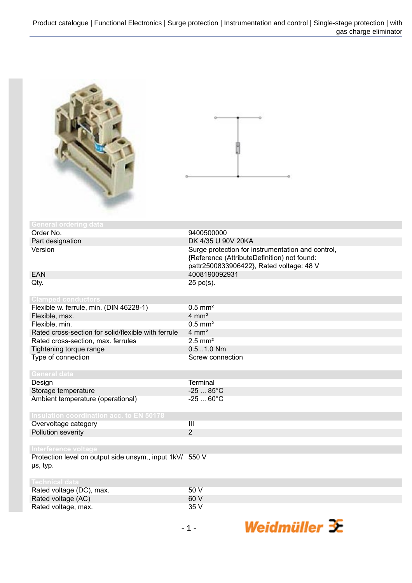

| <b>General ordering data</b>                             |                                                   |
|----------------------------------------------------------|---------------------------------------------------|
| Order No.                                                | 9400500000                                        |
| Part designation                                         | DK 4/35 U 90V 20KA                                |
| Version                                                  | Surge protection for instrumentation and control, |
|                                                          | {Reference (AttributeDefinition) not found:       |
|                                                          | pattr2500833906422}, Rated voltage: 48 V          |
| <b>EAN</b>                                               | 4008190092931                                     |
| Qty.                                                     | $25$ pc(s).                                       |
|                                                          |                                                   |
| <b>Clamped conductors</b>                                |                                                   |
| Flexible w. ferrule, min. (DIN 46228-1)                  | $0.5$ mm <sup>2</sup>                             |
| Flexible, max.                                           | $4 \, \text{mm}^2$                                |
| Flexible, min.                                           | $0.5$ mm <sup>2</sup>                             |
| Rated cross-section for solid/flexible with ferrule      | $4 \, \text{mm}^2$                                |
| Rated cross-section, max. ferrules                       | $2.5$ mm <sup>2</sup>                             |
| Tightening torque range                                  | $0.51.0$ Nm                                       |
| Type of connection                                       | Screw connection                                  |
|                                                          |                                                   |
| <b>General data</b>                                      |                                                   |
| Design                                                   | <b>Terminal</b>                                   |
| Storage temperature                                      | $-2585^{\circ}C$                                  |
| Ambient temperature (operational)                        | $-2560^{\circ}C$                                  |
|                                                          |                                                   |
| <b>Insulation coordination acc. to EN 50178</b>          |                                                   |
| Overvoltage category                                     | III                                               |
| Pollution severity                                       | 2                                                 |
|                                                          |                                                   |
| Interference voltage                                     |                                                   |
| Protection level on output side unsym., input 1kV/ 550 V |                                                   |
| µs, typ.                                                 |                                                   |
|                                                          |                                                   |
| <b>Technical data</b>                                    |                                                   |
| Rated voltage (DC), max.                                 | 50 V                                              |
| $D - 1 - 1 - 11 - 11 - 100$                              | 0011                                              |

Weidmüller  $\mathcal{\mathcal{F}}$